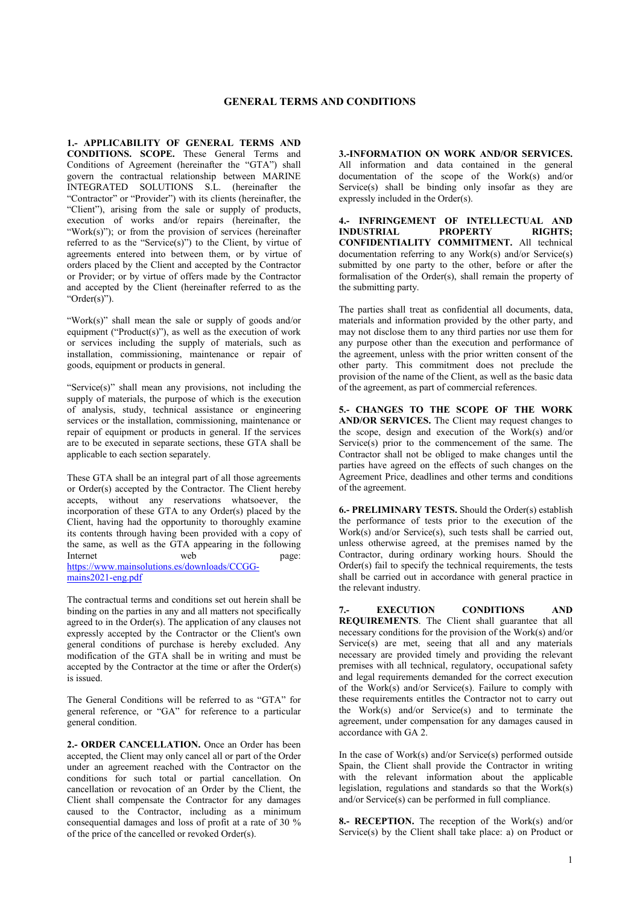**1.- APPLICABILITY OF GENERAL TERMS AND CONDITIONS. SCOPE.** These General Terms and Conditions of Agreement (hereinafter the "GTA") shall govern the contractual relationship between MARINE INTEGRATED SOLUTIONS S.L. (hereinafter the "Contractor" or "Provider") with its clients (hereinafter, the "Client"), arising from the sale or supply of products, execution of works and/or repairs (hereinafter, the "Work(s)"); or from the provision of services (hereinafter referred to as the "Service(s)") to the Client, by virtue of agreements entered into between them, or by virtue of orders placed by the Client and accepted by the Contractor or Provider; or by virtue of offers made by the Contractor and accepted by the Client (hereinafter referred to as the "Order(s)").

"Work(s)" shall mean the sale or supply of goods and/or equipment ("Product(s)"), as well as the execution of work or services including the supply of materials, such as installation, commissioning, maintenance or repair of goods, equipment or products in general.

"Service(s)" shall mean any provisions, not including the supply of materials, the purpose of which is the execution of analysis, study, technical assistance or engineering services or the installation, commissioning, maintenance or repair of equipment or products in general. If the services are to be executed in separate sections, these GTA shall be applicable to each section separately.

These GTA shall be an integral part of all those agreements or Order(s) accepted by the Contractor. The Client hereby accepts, without any reservations whatsoever, the incorporation of these GTA to any Order(s) placed by the Client, having had the opportunity to thoroughly examine its contents through having been provided with a copy of the same, as well as the GTA appearing in the following Internet web page: [https://www.mainsolutions.es/downloads/CCGG](https://www.mainsolutions.es/downloads/CCGG-mains2021-eng.pdf)[mains2021-eng.pdf](https://www.mainsolutions.es/downloads/CCGG-mains2021-eng.pdf)

The contractual terms and conditions set out herein shall be binding on the parties in any and all matters not specifically agreed to in the Order(s). The application of any clauses not expressly accepted by the Contractor or the Client's own general conditions of purchase is hereby excluded. Any modification of the GTA shall be in writing and must be accepted by the Contractor at the time or after the Order(s) is issued.

The General Conditions will be referred to as "GTA" for general reference, or "GA" for reference to a particular general condition.

**2.- ORDER CANCELLATION.** Once an Order has been accepted, the Client may only cancel all or part of the Order under an agreement reached with the Contractor on the conditions for such total or partial cancellation. On cancellation or revocation of an Order by the Client, the Client shall compensate the Contractor for any damages caused to the Contractor, including as a minimum consequential damages and loss of profit at a rate of 30 % of the price of the cancelled or revoked Order(s).

**3.-INFORMATION ON WORK AND/OR SERVICES.** All information and data contained in the general documentation of the scope of the Work(s) and/or Service(s) shall be binding only insofar as they are expressly included in the Order(s).

**4.- INFRINGEMENT OF INTELLECTUAL AND INDUSTRIAL CONFIDENTIALITY COMMITMENT.** All technical documentation referring to any Work(s) and/or Service(s) submitted by one party to the other, before or after the formalisation of the Order(s), shall remain the property of the submitting party.

The parties shall treat as confidential all documents, data, materials and information provided by the other party, and may not disclose them to any third parties nor use them for any purpose other than the execution and performance of the agreement, unless with the prior written consent of the other party. This commitment does not preclude the provision of the name of the Client, as well as the basic data of the agreement, as part of commercial references.

**5.- CHANGES TO THE SCOPE OF THE WORK AND/OR SERVICES.** The Client may request changes to the scope, design and execution of the Work(s) and/or Service(s) prior to the commencement of the same. The Contractor shall not be obliged to make changes until the parties have agreed on the effects of such changes on the Agreement Price, deadlines and other terms and conditions of the agreement.

**6.- PRELIMINARY TESTS.** Should the Order(s) establish the performance of tests prior to the execution of the Work(s) and/or Service(s), such tests shall be carried out, unless otherwise agreed, at the premises named by the Contractor, during ordinary working hours. Should the Order(s) fail to specify the technical requirements, the tests shall be carried out in accordance with general practice in the relevant industry.

**7.- EXECUTION CONDITIONS AND REQUIREMENTS**. The Client shall guarantee that all necessary conditions for the provision of the Work(s) and/or Service(s) are met, seeing that all and any materials necessary are provided timely and providing the relevant premises with all technical, regulatory, occupational safety and legal requirements demanded for the correct execution of the Work(s) and/or Service(s). Failure to comply with these requirements entitles the Contractor not to carry out the Work(s) and/or Service(s) and to terminate the agreement, under compensation for any damages caused in accordance with GA 2.

In the case of Work(s) and/or Service(s) performed outside Spain, the Client shall provide the Contractor in writing with the relevant information about the applicable legislation, regulations and standards so that the Work(s) and/or Service(s) can be performed in full compliance.

**8.- RECEPTION.** The reception of the Work(s) and/or Service(s) by the Client shall take place: a) on Product or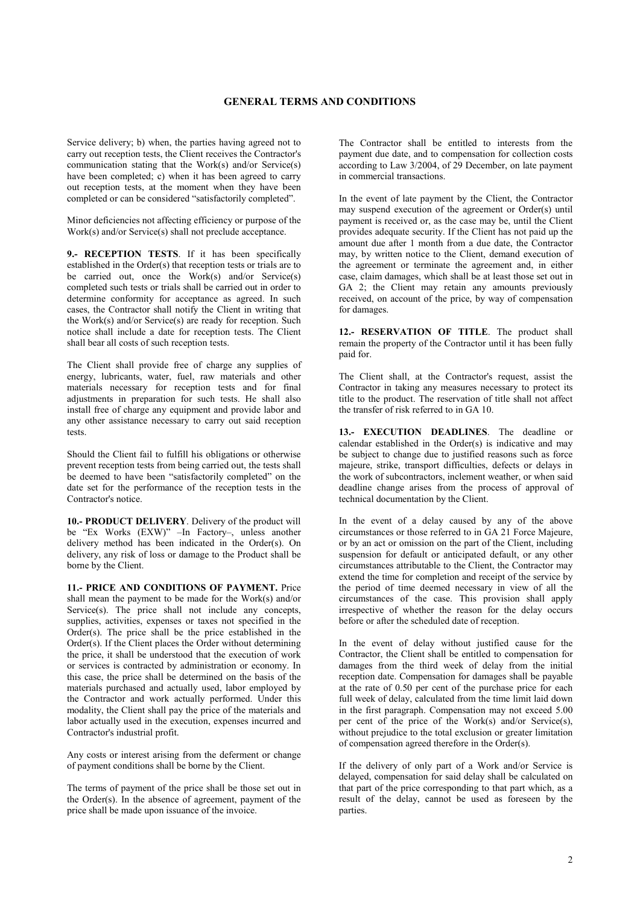Service delivery; b) when, the parties having agreed not to carry out reception tests, the Client receives the Contractor's communication stating that the Work(s) and/or Service(s) have been completed; c) when it has been agreed to carry out reception tests, at the moment when they have been completed or can be considered "satisfactorily completed".

Minor deficiencies not affecting efficiency or purpose of the Work(s) and/or Service(s) shall not preclude acceptance.

**9.- RECEPTION TESTS**. If it has been specifically established in the Order(s) that reception tests or trials are to be carried out, once the Work(s) and/or Service(s) completed such tests or trials shall be carried out in order to determine conformity for acceptance as agreed. In such cases, the Contractor shall notify the Client in writing that the Work(s) and/or Service(s) are ready for reception. Such notice shall include a date for reception tests. The Client shall bear all costs of such reception tests.

The Client shall provide free of charge any supplies of energy, lubricants, water, fuel, raw materials and other materials necessary for reception tests and for final adjustments in preparation for such tests. He shall also install free of charge any equipment and provide labor and any other assistance necessary to carry out said reception tests.

Should the Client fail to fulfill his obligations or otherwise prevent reception tests from being carried out, the tests shall be deemed to have been "satisfactorily completed" on the date set for the performance of the reception tests in the Contractor's notice.

**10.- PRODUCT DELIVERY**. Delivery of the product will be "Ex Works (EXW)" –In Factory–, unless another delivery method has been indicated in the Order(s). On delivery, any risk of loss or damage to the Product shall be borne by the Client.

**11.- PRICE AND CONDITIONS OF PAYMENT.** Price shall mean the payment to be made for the Work(s) and/or Service(s). The price shall not include any concepts, supplies, activities, expenses or taxes not specified in the Order(s). The price shall be the price established in the Order(s). If the Client places the Order without determining the price, it shall be understood that the execution of work or services is contracted by administration or economy. In this case, the price shall be determined on the basis of the materials purchased and actually used, labor employed by the Contractor and work actually performed. Under this modality, the Client shall pay the price of the materials and labor actually used in the execution, expenses incurred and Contractor's industrial profit.

Any costs or interest arising from the deferment or change of payment conditions shall be borne by the Client.

The terms of payment of the price shall be those set out in the Order(s). In the absence of agreement, payment of the price shall be made upon issuance of the invoice.

The Contractor shall be entitled to interests from the payment due date, and to compensation for collection costs according to Law 3/2004, of 29 December, on late payment in commercial transactions.

In the event of late payment by the Client, the Contractor may suspend execution of the agreement or Order(s) until payment is received or, as the case may be, until the Client provides adequate security. If the Client has not paid up the amount due after 1 month from a due date, the Contractor may, by written notice to the Client, demand execution of the agreement or terminate the agreement and, in either case, claim damages, which shall be at least those set out in GA 2; the Client may retain any amounts previously received, on account of the price, by way of compensation for damages.

**12.- RESERVATION OF TITLE**. The product shall remain the property of the Contractor until it has been fully paid for.

The Client shall, at the Contractor's request, assist the Contractor in taking any measures necessary to protect its title to the product. The reservation of title shall not affect the transfer of risk referred to in GA 10.

**13.- EXECUTION DEADLINES**. The deadline or calendar established in the Order(s) is indicative and may be subject to change due to justified reasons such as force majeure, strike, transport difficulties, defects or delays in the work of subcontractors, inclement weather, or when said deadline change arises from the process of approval of technical documentation by the Client.

In the event of a delay caused by any of the above circumstances or those referred to in GA 21 Force Majeure, or by an act or omission on the part of the Client, including suspension for default or anticipated default, or any other circumstances attributable to the Client, the Contractor may extend the time for completion and receipt of the service by the period of time deemed necessary in view of all the circumstances of the case. This provision shall apply irrespective of whether the reason for the delay occurs before or after the scheduled date of reception.

In the event of delay without justified cause for the Contractor, the Client shall be entitled to compensation for damages from the third week of delay from the initial reception date. Compensation for damages shall be payable at the rate of 0.50 per cent of the purchase price for each full week of delay, calculated from the time limit laid down in the first paragraph. Compensation may not exceed 5.00 per cent of the price of the Work(s) and/or Service(s), without prejudice to the total exclusion or greater limitation of compensation agreed therefore in the Order(s).

If the delivery of only part of a Work and/or Service is delayed, compensation for said delay shall be calculated on that part of the price corresponding to that part which, as a result of the delay, cannot be used as foreseen by the parties.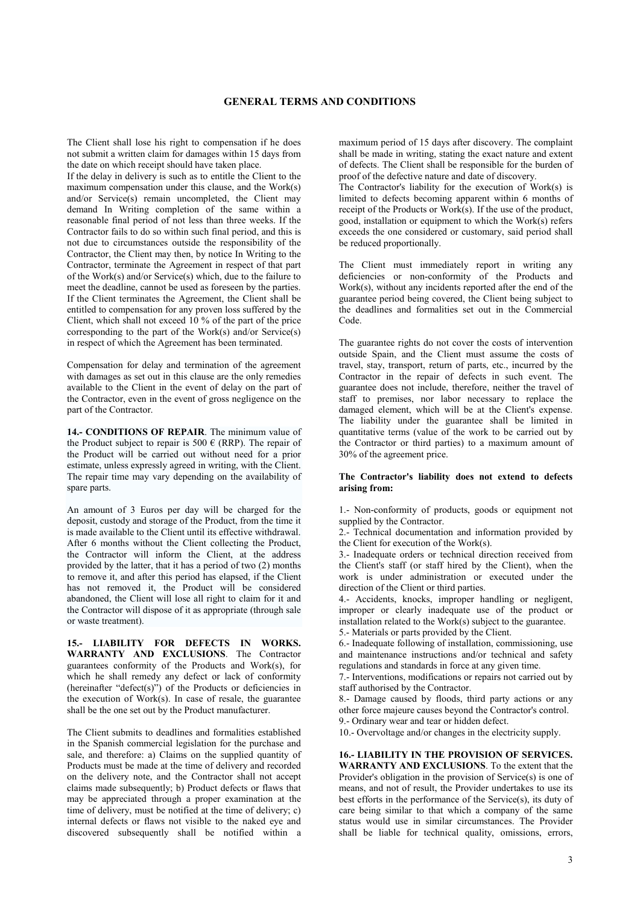The Client shall lose his right to compensation if he does not submit a written claim for damages within 15 days from the date on which receipt should have taken place.

If the delay in delivery is such as to entitle the Client to the maximum compensation under this clause, and the Work(s) and/or Service(s) remain uncompleted, the Client may demand In Writing completion of the same within a reasonable final period of not less than three weeks. If the Contractor fails to do so within such final period, and this is not due to circumstances outside the responsibility of the Contractor, the Client may then, by notice In Writing to the Contractor, terminate the Agreement in respect of that part of the Work(s) and/or Service(s) which, due to the failure to meet the deadline, cannot be used as foreseen by the parties. If the Client terminates the Agreement, the Client shall be entitled to compensation for any proven loss suffered by the Client, which shall not exceed 10 % of the part of the price corresponding to the part of the Work(s) and/or Service(s) in respect of which the Agreement has been terminated.

Compensation for delay and termination of the agreement with damages as set out in this clause are the only remedies available to the Client in the event of delay on the part of the Contractor, even in the event of gross negligence on the part of the Contractor.

**14.- CONDITIONS OF REPAIR**. The minimum value of the Product subject to repair is 500  $\epsilon$  (RRP). The repair of the Product will be carried out without need for a prior estimate, unless expressly agreed in writing, with the Client. The repair time may vary depending on the availability of spare parts.

An amount of 3 Euros per day will be charged for the deposit, custody and storage of the Product, from the time it is made available to the Client until its effective withdrawal. After 6 months without the Client collecting the Product, the Contractor will inform the Client, at the address provided by the latter, that it has a period of two (2) months to remove it, and after this period has elapsed, if the Client has not removed it, the Product will be considered abandoned, the Client will lose all right to claim for it and the Contractor will dispose of it as appropriate (through sale or waste treatment).

**15.- LIABILITY FOR DEFECTS IN WORKS. WARRANTY AND EXCLUSIONS**. The Contractor guarantees conformity of the Products and Work(s), for which he shall remedy any defect or lack of conformity (hereinafter "defect(s)") of the Products or deficiencies in the execution of Work(s). In case of resale, the guarantee shall be the one set out by the Product manufacturer.

The Client submits to deadlines and formalities established in the Spanish commercial legislation for the purchase and sale, and therefore: a) Claims on the supplied quantity of Products must be made at the time of delivery and recorded on the delivery note, and the Contractor shall not accept claims made subsequently; b) Product defects or flaws that may be appreciated through a proper examination at the time of delivery, must be notified at the time of delivery; c) internal defects or flaws not visible to the naked eye and discovered subsequently shall be notified within a

maximum period of 15 days after discovery. The complaint shall be made in writing, stating the exact nature and extent of defects. The Client shall be responsible for the burden of proof of the defective nature and date of discovery.

The Contractor's liability for the execution of Work(s) is limited to defects becoming apparent within 6 months of receipt of the Products or Work(s). If the use of the product, good, installation or equipment to which the Work(s) refers exceeds the one considered or customary, said period shall be reduced proportionally.

The Client must immediately report in writing any deficiencies or non-conformity of the Products and Work(s), without any incidents reported after the end of the guarantee period being covered, the Client being subject to the deadlines and formalities set out in the Commercial Code.

The guarantee rights do not cover the costs of intervention outside Spain, and the Client must assume the costs of travel, stay, transport, return of parts, etc., incurred by the Contractor in the repair of defects in such event. The guarantee does not include, therefore, neither the travel of staff to premises, nor labor necessary to replace the damaged element, which will be at the Client's expense. The liability under the guarantee shall be limited in quantitative terms (value of the work to be carried out by the Contractor or third parties) to a maximum amount of 30% of the agreement price.

### **The Contractor's liability does not extend to defects arising from:**

1.- Non-conformity of products, goods or equipment not supplied by the Contractor.

2.- Technical documentation and information provided by the Client for execution of the Work(s).

3.- Inadequate orders or technical direction received from the Client's staff (or staff hired by the Client), when the work is under administration or executed under the direction of the Client or third parties.

4.- Accidents, knocks, improper handling or negligent, improper or clearly inadequate use of the product or installation related to the Work(s) subject to the guarantee. 5.- Materials or parts provided by the Client.

6.- Inadequate following of installation, commissioning, use and maintenance instructions and/or technical and safety regulations and standards in force at any given time.

7.- Interventions, modifications or repairs not carried out by staff authorised by the Contractor.

8.- Damage caused by floods, third party actions or any other force majeure causes beyond the Contractor's control. 9.- Ordinary wear and tear or hidden defect.

10.- Overvoltage and/or changes in the electricity supply.

**16.- LIABILITY IN THE PROVISION OF SERVICES. WARRANTY AND EXCLUSIONS**. To the extent that the Provider's obligation in the provision of Service(s) is one of means, and not of result, the Provider undertakes to use its best efforts in the performance of the Service(s), its duty of care being similar to that which a company of the same status would use in similar circumstances. The Provider shall be liable for technical quality, omissions, errors,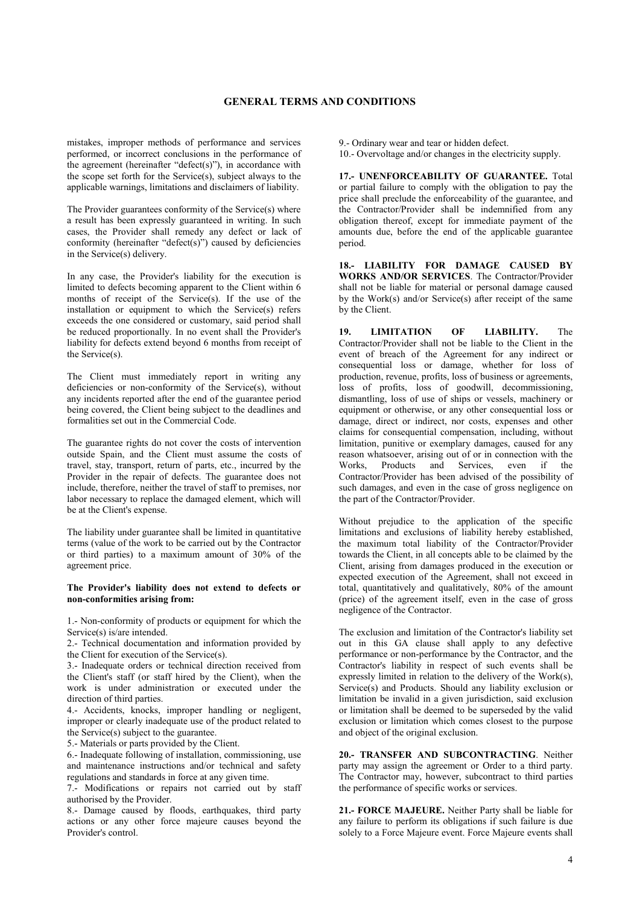mistakes, improper methods of performance and services performed, or incorrect conclusions in the performance of the agreement (hereinafter "defect(s)"), in accordance with the scope set forth for the Service(s), subject always to the applicable warnings, limitations and disclaimers of liability.

The Provider guarantees conformity of the Service(s) where a result has been expressly guaranteed in writing. In such cases, the Provider shall remedy any defect or lack of conformity (hereinafter "defect(s)") caused by deficiencies in the Service(s) delivery.

In any case, the Provider's liability for the execution is limited to defects becoming apparent to the Client within 6 months of receipt of the Service(s). If the use of the installation or equipment to which the Service(s) refers exceeds the one considered or customary, said period shall be reduced proportionally. In no event shall the Provider's liability for defects extend beyond 6 months from receipt of the Service(s).

The Client must immediately report in writing any deficiencies or non-conformity of the Service(s), without any incidents reported after the end of the guarantee period being covered, the Client being subject to the deadlines and formalities set out in the Commercial Code.

The guarantee rights do not cover the costs of intervention outside Spain, and the Client must assume the costs of travel, stay, transport, return of parts, etc., incurred by the Provider in the repair of defects. The guarantee does not include, therefore, neither the travel of staff to premises, nor labor necessary to replace the damaged element, which will be at the Client's expense.

The liability under guarantee shall be limited in quantitative terms (value of the work to be carried out by the Contractor or third parties) to a maximum amount of 30% of the agreement price.

#### **The Provider's liability does not extend to defects or non-conformities arising from:**

1.- Non-conformity of products or equipment for which the Service(s) is/are intended.

2.- Technical documentation and information provided by the Client for execution of the Service(s).

3.- Inadequate orders or technical direction received from the Client's staff (or staff hired by the Client), when the work is under administration or executed under the direction of third parties.

4.- Accidents, knocks, improper handling or negligent, improper or clearly inadequate use of the product related to the Service(s) subject to the guarantee.

5.- Materials or parts provided by the Client.

6.- Inadequate following of installation, commissioning, use and maintenance instructions and/or technical and safety regulations and standards in force at any given time.

7.- Modifications or repairs not carried out by staff authorised by the Provider.

8.- Damage caused by floods, earthquakes, third party actions or any other force majeure causes beyond the Provider's control.

9.- Ordinary wear and tear or hidden defect.

10.- Overvoltage and/or changes in the electricity supply.

**17.- UNENFORCEABILITY OF GUARANTEE.** Total or partial failure to comply with the obligation to pay the price shall preclude the enforceability of the guarantee, and the Contractor/Provider shall be indemnified from any obligation thereof, except for immediate payment of the amounts due, before the end of the applicable guarantee period.

**18.- LIABILITY FOR DAMAGE CAUSED BY WORKS AND/OR SERVICES**. The Contractor/Provider shall not be liable for material or personal damage caused by the Work(s) and/or Service(s) after receipt of the same by the Client.

**19. LIMITATION OF LIABILITY.** The Contractor/Provider shall not be liable to the Client in the event of breach of the Agreement for any indirect or consequential loss or damage, whether for loss of production, revenue, profits, loss of business or agreements, loss of profits, loss of goodwill, decommissioning, dismantling, loss of use of ships or vessels, machinery or equipment or otherwise, or any other consequential loss or damage, direct or indirect, nor costs, expenses and other claims for consequential compensation, including, without limitation, punitive or exemplary damages, caused for any reason whatsoever, arising out of or in connection with the Products and Services, even if the Contractor/Provider has been advised of the possibility of such damages, and even in the case of gross negligence on the part of the Contractor/Provider.

Without prejudice to the application of the specific limitations and exclusions of liability hereby established, the maximum total liability of the Contractor/Provider towards the Client, in all concepts able to be claimed by the Client, arising from damages produced in the execution or expected execution of the Agreement, shall not exceed in total, quantitatively and qualitatively, 80% of the amount (price) of the agreement itself, even in the case of gross negligence of the Contractor.

The exclusion and limitation of the Contractor's liability set out in this GA clause shall apply to any defective performance or non-performance by the Contractor, and the Contractor's liability in respect of such events shall be expressly limited in relation to the delivery of the Work(s), Service(s) and Products. Should any liability exclusion or limitation be invalid in a given jurisdiction, said exclusion or limitation shall be deemed to be superseded by the valid exclusion or limitation which comes closest to the purpose and object of the original exclusion.

**20.- TRANSFER AND SUBCONTRACTING**. Neither party may assign the agreement or Order to a third party. The Contractor may, however, subcontract to third parties the performance of specific works or services.

**21.- FORCE MAJEURE.** Neither Party shall be liable for any failure to perform its obligations if such failure is due solely to a Force Majeure event. Force Majeure events shall